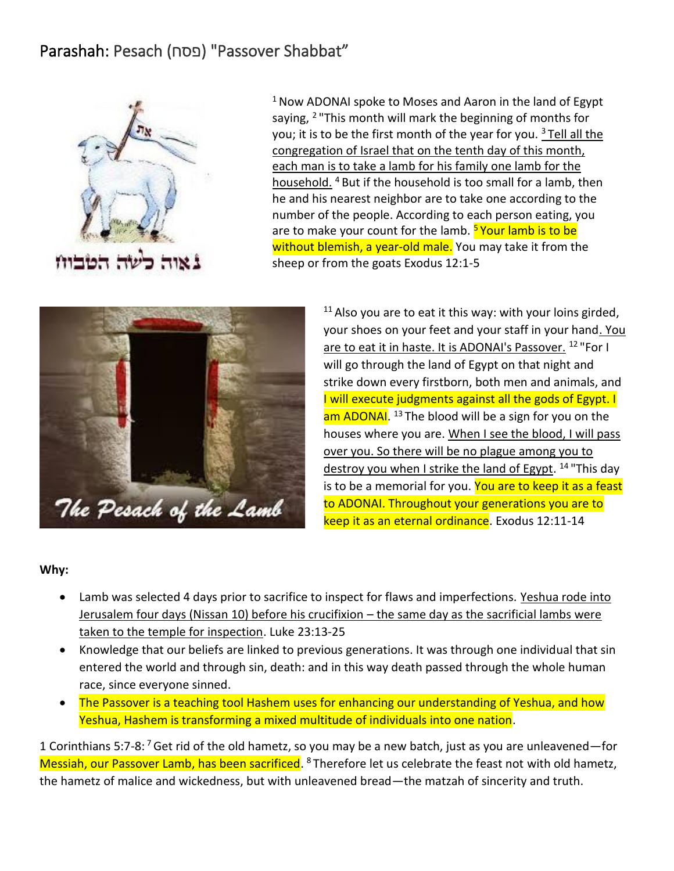# Parashah: Pesach ( פסח" (Passover Shabbat"



 $1$  Now ADONAI spoke to Moses and Aaron in the land of Egypt saying, <sup>2</sup>"This month will mark the beginning of months for you; it is to be the first month of the year for you.  $3$  Tell all the congregation of Israel that on the tenth day of this month, each man is to take a lamb for his family one lamb for the household. <sup>4</sup> But if the household is too small for a lamb, then he and his nearest neighbor are to take one according to the number of the people. According to each person eating, you are to make your count for the lamb. **Syour lamb is to be** without blemish, a year-old male. You may take it from the sheep or from the goats Exodus 12:1-5



 $11$  Also you are to eat it this way: with your loins girded, your shoes on your feet and your staff in your hand. You are to eat it in haste. It is ADONAI's Passover. <sup>12</sup> "For I will go through the land of Egypt on that night and strike down every firstborn, both men and animals, and I will execute judgments against all the gods of Egypt. I am ADONAI. <sup>13</sup> The blood will be a sign for you on the houses where you are. When I see the blood, I will pass over you. So there will be no plague among you to destroy you when I strike the land of Egypt. <sup>14</sup> "This day is to be a memorial for you. You are to keep it as a feast to ADONAI. Throughout your generations you are to keep it as an eternal ordinance. Exodus 12:11-14

#### **Why:**

- Lamb was selected 4 days prior to sacrifice to inspect for flaws and imperfections. Yeshua rode into Jerusalem four days (Nissan 10) before his crucifixion – the same day as the sacrificial lambs were taken to the temple for inspection. Luke 23:13-25
- Knowledge that our beliefs are linked to previous generations. It was through one individual that sin entered the world and through sin, death: and in this way death passed through the whole human race, since everyone sinned.
- The Passover is a teaching tool Hashem uses for enhancing our understanding of Yeshua, and how Yeshua, Hashem is transforming a mixed multitude of individuals into one nation.

1 Corinthians 5:7-8: <sup>7</sup> Get rid of the old hametz, so you may be a new batch, just as you are unleavened—for Messiah, our Passover Lamb, has been sacrificed. <sup>8</sup> Therefore let us celebrate the feast not with old hametz, the hametz of malice and wickedness, but with unleavened bread—the matzah of sincerity and truth.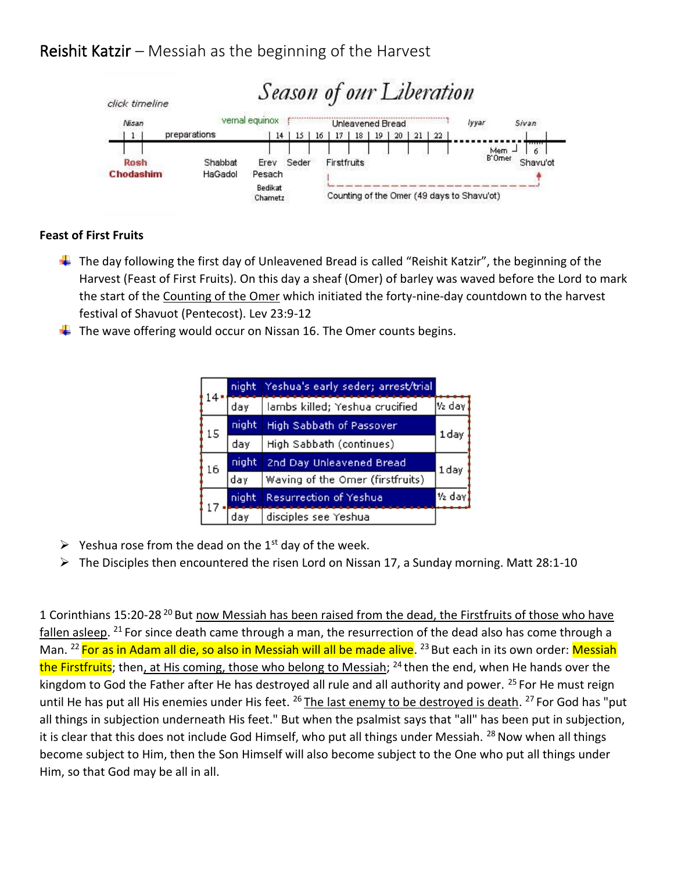## Reishit Katzir – Messiah as the beginning of the Harvest



### **Feast of First Fruits**

- $\ddot{\phantom{1}}$  The day following the first day of Unleavened Bread is called "Reishit Katzir", the beginning of the Harvest (Feast of First Fruits). On this day a sheaf (Omer) of barley was waved before the Lord to mark the start of the Counting of the Omer which initiated the forty-nine-day countdown to the harvest festival of Shavuot (Pentecost). Lev 23:9-12
- $\ddot{\phantom{1}}$  The wave offering would occur on Nissan 16. The Omer counts begins.

|    | night, | Yeshua's early seder; arrest/trial |                    |
|----|--------|------------------------------------|--------------------|
|    | day    | lambs killed; Yeshua crucified     | V <sub>2</sub> day |
| 15 | night  | High Sabbath of Passover           | 1 day              |
|    | day    | High Sabbath (continues)           |                    |
| 16 | night  | 2nd Day Unleavened Bread           | 1 day              |
|    | day    | Waving of the Omer (firstfruits)   |                    |
|    | night  | Resurrection of Yeshua             | 1/2 day            |
|    |        | disciples see Yeshua               |                    |

- $\triangleright$  Yeshua rose from the dead on the 1<sup>st</sup> day of the week.
- ➢ The Disciples then encountered the risen Lord on Nissan 17, a Sunday morning. Matt 28:1-10

1 Corinthians 15:20-28<sup>20</sup> But now Messiah has been raised from the dead, the Firstfruits of those who have fallen asleep. <sup>21</sup> For since death came through a man, the resurrection of the dead also has come through a Man. <sup>22</sup> <mark>For as in Adam all die, so also in Messiah will all be made alive</mark>. <sup>23</sup> But each in its own order: <mark>Messiah</mark> the Firstfruits; then, at His coming, those who belong to Messiah; <sup>24</sup> then the end, when He hands over the kingdom to God the Father after He has destroyed all rule and all authority and power. <sup>25</sup> For He must reign until He has put all His enemies under His feet. <sup>26</sup> The last enemy to be destroyed is death. <sup>27</sup> For God has "put all things in subjection underneath His feet." But when the psalmist says that "all" has been put in subjection, it is clear that this does not include God Himself, who put all things under Messiah.  $^{28}$  Now when all things become subject to Him, then the Son Himself will also become subject to the One who put all things under Him, so that God may be all in all.